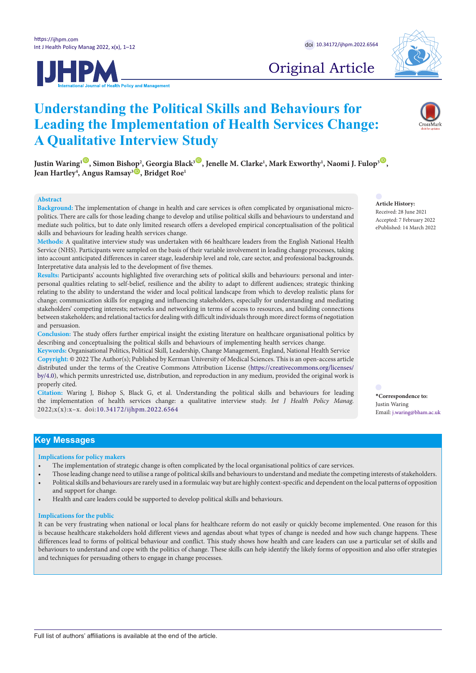



# Original Article

# **Understanding the Political Skills and Behaviours for Leading the Implementation of Health Services Change: A Qualitative Interview Study**

 $J$ ustin Waring<sup>1 ©</sup>, Simon Bishop<sup>2</sup>, Georgia Black<sup>3 ©</sup>, Jenelle M. Clarke<sup>1</sup>, Mark Exworthy<sup>1</sup>, Naomi J. Fulop<sup>3 ©</sup>, **Jean Hartley<sup>4</sup>, Angus Ramsay<sup>3</sup> , Bridget Roe<sup>1</sup>** 

# **Abstract**

**Background:** The implementation of change in health and care services is often complicated by organisational micropolitics. There are calls for those leading change to develop and utilise political skills and behaviours to understand and mediate such politics, but to date only limited research offers a developed empirical conceptualisation of the political skills and behaviours for leading health services change.

**Methods:** A qualitative interview study was undertaken with 66 healthcare leaders from the English National Health Service (NHS). Participants were sampled on the basis of their variable involvement in leading change processes, taking into account anticipated differences in career stage, leadership level and role, care sector, and professional backgrounds. Interpretative data analysis led to the development of five themes.

**Results:** Participants' accounts highlighted five overarching sets of political skills and behaviours: personal and interpersonal qualities relating to self-belief, resilience and the ability to adapt to different audiences; strategic thinking relating to the ability to understand the wider and local political landscape from which to develop realistic plans for change; communication skills for engaging and influencing stakeholders, especially for understanding and mediating stakeholders' competing interests; networks and networking in terms of access to resources, and building connections between stakeholders; and relational tactics for dealing with difficult individuals through more direct forms of negotiation and persuasion.

**Conclusion:** The study offers further empirical insight the existing literature on healthcare organisational politics by describing and conceptualising the political skills and behaviours of implementing health services change.

**Keywords:** Organisational Politics, Political Skill, Leadership, Change Management, England, National Health Service **Copyright:** © 2022 The Author(s); Published by Kerman University of Medical Sciences. This is an open-access article distributed under the terms of the Creative Commons Attribution License [\(https://creativecommons.org/licenses/](https://creativecommons.org/licenses/by/4.0/) [by/4.0\)](https://creativecommons.org/licenses/by/4.0/), which permits unrestricted use, distribution, and reproduction in any medium, provided the original work is properly cited.

**Citation:** Waring J, Bishop S, Black G, et al. Understanding the political skills and behaviours for leading the implementation of health services change: a qualitative interview study. *Int J Health Policy Manag.*  2022;x(x):x–x. doi:[10.34172/ijhpm.2022.6564](https://doi.org/10.34172/ijhpm.2022.6564)

**Article History:** Received: 28 June 2021 Accepted: 7 February 2022 ePublished: 14 March 2022

**\*Correspondence to:** Justin Waring Email: j.waring@bham.ac.uk

# **Key Messages**

#### **Implications for policy makers**

- The implementation of strategic change is often complicated by the local organisational politics of care services.
- Those leading change need to utilise a range of political skills and behaviours to understand and mediate the competing interests of stakeholders. • Political skills and behaviours are rarely used in a formulaic way but are highly context-specific and dependent on the local patterns of opposition and support for change.
- Health and care leaders could be supported to develop political skills and behaviours.

#### **Implications for the public**

It can be very frustrating when national or local plans for healthcare reform do not easily or quickly become implemented. One reason for this is because healthcare stakeholders hold different views and agendas about what types of change is needed and how such change happens. These differences lead to forms of political behaviour and conflict. This study shows how health and care leaders can use a particular set of skills and behaviours to understand and cope with the politics of change. These skills can help identify the likely forms of opposition and also offer strategies and techniques for persuading others to engage in change processes.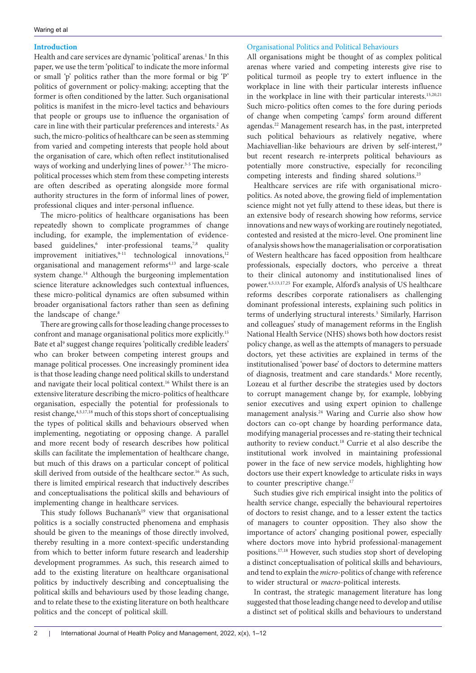# **Introduction**

Health and care services are dynamic 'political' arenas.<sup>1</sup> In this paper, we use the term 'political' to indicate the more informal or small 'p' politics rather than the more formal or big 'P' politics of government or policy-making; accepting that the former is often conditioned by the latter. Such organisational politics is manifest in the micro-level tactics and behaviours that people or groups use to influence the organisation of care in line with their particular preferences and interests.<sup>2</sup> As such, the micro-politics of healthcare can be seen as stemming from varied and competing interests that people hold about the organisation of care, which often reflect institutionalised ways of working and underlying lines of power.<sup>3-5</sup> The micropolitical processes which stem from these competing interests are often described as operating alongside more formal authority structures in the form of informal lines of power, professional cliques and inter-personal influence.

The micro-politics of healthcare organisations has been repeatedly shown to complicate programmes of change including, for example, the implementation of evidencebased guidelines,<sup>6</sup> inter-professional teams,<sup>7,8</sup> quality improvement initiatives,  $9-11$  technological innovations,  $12$ organisational and management reforms<sup>4,13</sup> and large-scale system change.14 Although the burgeoning implementation science literature acknowledges such contextual influences, these micro-political dynamics are often subsumed within broader organisational factors rather than seen as defining the landscape of change.<sup>8</sup>

There are growing calls for those leading change processes to confront and manage organisational politics more explicitly.15 Bate et al<sup>9</sup> suggest change requires 'politically credible leaders' who can broker between competing interest groups and manage political processes. One increasingly prominent idea is that those leading change need political skills to understand and navigate their local political context.16 Whilst there is an extensive literature describing the micro-politics of healthcare organisation, especially the potential for professionals to resist change, 4,5,17,18 much of this stops short of conceptualising the types of political skills and behaviours observed when implementing, negotiating or opposing change. A parallel and more recent body of research describes how political skills can facilitate the implementation of healthcare change, but much of this draws on a particular concept of political skill derived from outside of the healthcare sector.16 As such, there is limited empirical research that inductively describes and conceptualisations the political skills and behaviours of implementing change in healthcare services.

This study follows Buchanan's<sup>19</sup> view that organisational politics is a socially constructed phenomena and emphasis should be given to the meanings of those directly involved, thereby resulting in a more context-specific understanding from which to better inform future research and leadership development programmes. As such, this research aimed to add to the existing literature on healthcare organisational politics by inductively describing and conceptualising the political skills and behaviours used by those leading change, and to relate these to the existing literature on both healthcare politics and the concept of political skill.

## Organisational Politics and Political Behaviours

All organisations might be thought of as complex political arenas where varied and competing interests give rise to political turmoil as people try to extert influence in the workplace in line with their particular interests influence in the workplace in line with their particular interests.<sup>15,20,21</sup> Such micro-politics often comes to the fore during periods of change when competing 'camps' form around different agendas.22 Management research has, in the past, interpreted such political behaviours as relatively negative, where Machiavellian-like behaviours are driven by self-interest,<sup>19</sup> but recent research re-interprets political behaviours as potentially more constructive, especially for reconciling competing interests and finding shared solutions.<sup>23</sup>

Healthcare services are rife with organisational micropolitics. As noted above, the growing field of implementation science might not yet fully attend to these ideas, but there is an extensive body of research showing how reforms, service innovations and new ways of working are routinely negotiated, contested and resisted at the micro-level. One prominent line of analysis shows how the managerialisation or corporatisation of Western healthcare has faced opposition from healthcare professionals, especially doctors, who perceive a threat to their clinical autonomy and institutionalised lines of power.4,5,13,17,25 For example, Alford's analysis of US healthcare reforms describes corporate rationalisers as challenging dominant professional interests, explaining such politics in terms of underlying structural interests.<sup>5</sup> Similarly, Harrison and colleagues' study of management reforms in the English National Health Service (NHS) shows both how doctors resist policy change, as well as the attempts of managers to persuade doctors, yet these activities are explained in terms of the institutionalised 'power base' of doctors to determine matters of diagnosis, treatment and care standards.<sup>4</sup> More recently, Lozeau et al further describe the strategies used by doctors to corrupt management change by, for example, lobbying senior executives and using expert opinion to challenge management analysis.<sup>24</sup> Waring and Currie also show how doctors can co-opt change by hoarding performance data, modifying managerial processes and re-stating their technical authority to review conduct.18 Currie et al also describe the institutional work involved in maintaining professional power in the face of new service models, highlighting how doctors use their expert knowledge to articulate risks in ways to counter prescriptive change.<sup>17</sup>

Such studies give rich empirical insight into the politics of health service change, especially the behavioural repertoires of doctors to resist change, and to a lesser extent the tactics of managers to counter opposition. They also show the importance of actors' changing positional power, especially where doctors move into hybrid professional-management positions.17,18 However, such studies stop short of developing a distinct conceptualisation of political skills and behaviours, and tend to explain the *micro*-politics of change with reference to wider structural or *macro*-political interests.

In contrast, the strategic management literature has long suggested that those leading change need to develop and utilise a distinct set of political skills and behaviours to understand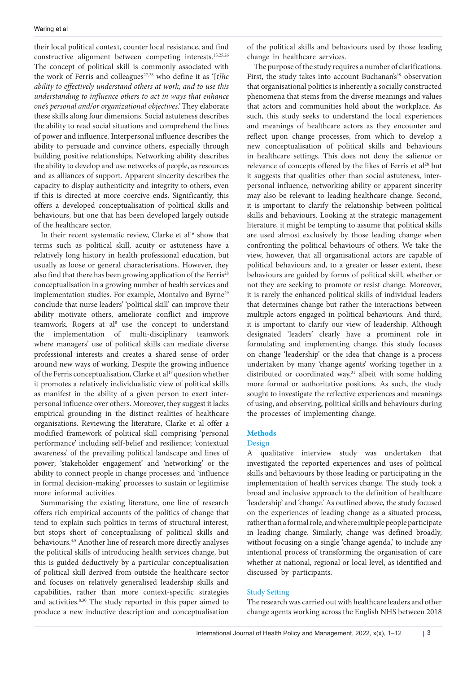their local political context, counter local resistance, and find constructive alignment between competing interests.15,25,26 The concept of political skill is commonly associated with the work of Ferris and colleagues<sup>27,28</sup> who define it as '[t]he *ability to effectively understand others at work, and to use this understanding to influence others to act in ways that enhance one's personal and/or organizational objectives.'* They elaborate these skills along four dimensions. Social astuteness describes the ability to read social situations and comprehend the lines of power and influence. Interpersonal influence describes the ability to persuade and convince others, especially through building positive relationships. Networking ability describes the ability to develop and use networks of people, as resources and as alliances of support. Apparent sincerity describes the capacity to display authenticity and integrity to others, even if this is directed at more coercive ends. Significantly, this offers a developed conceptualisation of political skills and behaviours, but one that has been developed largely outside of the healthcare sector.

In their recent systematic review, Clarke et al<sup>16</sup> show that terms such as political skill, acuity or astuteness have a relatively long history in health professional education, but usually as loose or general characterisations. However, they also find that there has been growing application of the Ferris<sup>28</sup> conceptualisation in a growing number of health services and implementation studies. For example, Montalvo and Byrne<sup>29</sup> conclude that nurse leaders' 'political skill' can improve their ability motivate others, ameliorate conflict and improve teamwork. Rogers at al<sup>8</sup> use the concept to understand the implementation of multi-disciplinary teamwork where managers' use of political skills can mediate diverse professional interests and creates a shared sense of order around new ways of working. Despite the growing influence of the Ferris conceptualisation, Clarke et al<sup>17</sup> question whether it promotes a relatively individualistic view of political skills as manifest in the ability of a given person to exert interpersonal influence over others. Moreover, they suggest it lacks empirical grounding in the distinct realities of healthcare organisations. Reviewing the literature, Clarke et al offer a modified framework of political skill comprising 'personal performance' including self-belief and resilience; 'contextual awareness' of the prevailing political landscape and lines of power; 'stakeholder engagement' and 'networking' or the ability to connect people in change processes; and 'influence in formal decision-making' processes to sustain or legitimise more informal activities.

Summarising the existing literature, one line of research offers rich empirical accounts of the politics of change that tend to explain such politics in terms of structural interest, but stops short of conceptualising of political skills and behaviours.4,5 Another line of research more directly analyses the political skills of introducing health services change, but this is guided deductively by a particular conceptualisation of political skill derived from outside the healthcare sector and focuses on relatively generalised leadership skills and capabilities, rather than more context-specific strategies and activities.8,30 The study reported in this paper aimed to produce a new inductive description and conceptualisation

of the political skills and behaviours used by those leading change in healthcare services.

The purpose of the study requires a number of clarifications. First, the study takes into account Buchanan's<sup>19</sup> observation that organisational politics is inherently a socially constructed phenomena that stems from the diverse meanings and values that actors and communities hold about the workplace. As such, this study seeks to understand the local experiences and meanings of healthcare actors as they encounter and reflect upon change processes, from which to develop a new conceptualisation of political skills and behaviours in healthcare settings. This does not deny the salience or relevance of concepts offered by the likes of Ferris et al<sup>28</sup> but it suggests that qualities other than social astuteness, interpersonal influence, networking ability or apparent sincerity may also be relevant to leading healthcare change. Second, it is important to clarify the relationship between political skills and behaviours. Looking at the strategic management literature, it might be tempting to assume that political skills are used almost exclusively by those leading change when confronting the political behaviours of others. We take the view, however, that all organisational actors are capable of political behaviours and, to a greater or lesser extent, these behaviours are guided by forms of political skill, whether or not they are seeking to promote or resist change. Moreover, it is rarely the enhanced political skills of individual leaders that determines change but rather the interactions between multiple actors engaged in political behaviours. And third, it is important to clarify our view of leadership. Although designated 'leaders' clearly have a prominent role in formulating and implementing change, this study focuses on change 'leadership' or the idea that change is a process undertaken by many 'change agents' working together in a distributed or coordinated way, $31$  albeit with some holding more formal or authoritative positions. As such, the study sought to investigate the reflective experiences and meanings of using, and observing, political skills and behaviours during the processes of implementing change.

## **Methods**

## Design

A qualitative interview study was undertaken that investigated the reported experiences and uses of political skills and behaviours by those leading or participating in the implementation of health services change. The study took a broad and inclusive approach to the definition of healthcare 'leadership' and 'change.' As outlined above, the study focused on the experiences of leading change as a situated process, rather than a formal role, and where multiple people participate in leading change. Similarly, change was defined broadly, without focusing on a single 'change agenda,' to include any intentional process of transforming the organisation of care whether at national, regional or local level, as identified and discussed by participants.

## Study Setting

The research was carried out with healthcare leaders and other change agents working across the English NHS between 2018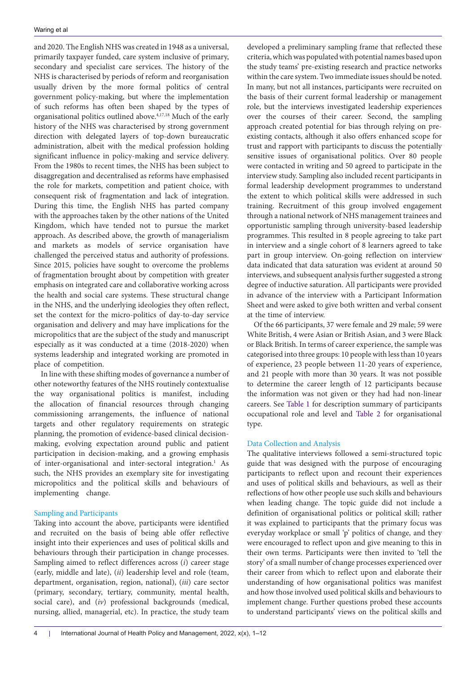and 2020. The English NHS was created in 1948 as a universal, primarily taxpayer funded, care system inclusive of primary, secondary and specialist care services. The history of the NHS is characterised by periods of reform and reorganisation usually driven by the more formal politics of central government policy-making, but where the implementation of such reforms has often been shaped by the types of organisational politics outlined above.4,17,18 Much of the early history of the NHS was characterised by strong government direction with delegated layers of top-down bureaucratic administration, albeit with the medical profession holding significant influence in policy-making and service delivery. From the 1980s to recent times, the NHS has been subject to disaggregation and decentralised as reforms have emphasised the role for markets, competition and patient choice, with consequent risk of fragmentation and lack of integration. During this time, the English NHS has parted company with the approaches taken by the other nations of the United Kingdom, which have tended not to pursue the market approach. As described above, the growth of managerialism and markets as models of service organisation have challenged the perceived status and authority of professions. Since 2015, policies have sought to overcome the problems of fragmentation brought about by competition with greater emphasis on integrated care and collaborative working across the health and social care systems. These structural change in the NHS, and the underlying ideologies they often reflect, set the context for the micro-politics of day-to-day service organisation and delivery and may have implications for the micropolitics that are the subject of the study and manuscript especially as it was conducted at a time (2018-2020) when systems leadership and integrated working are promoted in place of competition.

In line with these shifting modes of governance a number of other noteworthy features of the NHS routinely contextualise the way organisational politics is manifest, including the allocation of financial resources through changing commissioning arrangements, the influence of national targets and other regulatory requirements on strategic planning, the promotion of evidence-based clinical decisionmaking, evolving expectation around public and patient participation in decision-making, and a growing emphasis of inter-organisational and inter-sectoral integration.<sup>1</sup> As such, the NHS provides an exemplary site for investigating micropolitics and the political skills and behaviours of implementing change.

# Sampling and Participants

Taking into account the above, participants were identified and recruited on the basis of being able offer reflective insight into their experiences and uses of political skills and behaviours through their participation in change processes. Sampling aimed to reflect differences across (*i*) career stage (early, middle and late), (*ii*) leadership level and role (team, department, organisation, region, national), (*iii*) care sector (primary, secondary, tertiary, community, mental health, social care), and (*iv*) professional backgrounds (medical, nursing, allied, managerial, etc). In practice, the study team

developed a preliminary sampling frame that reflected these criteria, which was populated with potential names based upon the study teams' pre-existing research and practice networks within the care system. Two immediate issues should be noted. In many, but not all instances, participants were recruited on the basis of their current formal leadership or management role, but the interviews investigated leadership experiences over the courses of their career. Second, the sampling approach created potential for bias through relying on preexisting contacts, although it also offers enhanced scope for trust and rapport with participants to discuss the potentially sensitive issues of organisational politics. Over 80 people were contacted in writing and 50 agreed to participate in the interview study. Sampling also included recent participants in formal leadership development programmes to understand the extent to which political skills were addressed in such training. Recruitment of this group involved engagement through a national network of NHS management trainees and opportunistic sampling through university-based leadership programmes. This resulted in 8 people agreeing to take part in interview and a single cohort of 8 learners agreed to take part in group interview. On-going reflection on interview data indicated that data saturation was evident at around 50 interviews, and subsequent analysis further suggested a strong degree of inductive saturation. All participants were provided in advance of the interview with a Participant Information Sheet and were asked to give both written and verbal consent at the time of interview.

Of the 66 participants, 37 were female and 29 male; 59 were White British, 4 were Asian or British Asian, and 3 were Black or Black British. In terms of career experience, the sample was categorised into three groups: 10 people with less than 10 years of experience, 23 people between 11-20 years of experience, and 21 people with more than 30 years. It was not possible to determine the career length of 12 participants because the information was not given or they had had non-linear careers. See Table 1 for description summary of participants occupational role and level and Table 2 for organisational type.

# Data Collection and Analysis

The qualitative interviews followed a semi-structured topic guide that was designed with the purpose of encouraging participants to reflect upon and recount their experiences and uses of political skills and behaviours, as well as their reflections of how other people use such skills and behaviours when leading change. The topic guide did not include a definition of organisational politics or political skill; rather it was explained to participants that the primary focus was everyday workplace or small 'p' politics of change, and they were encouraged to reflect upon and give meaning to this in their own terms. Participants were then invited to 'tell the story' of a small number of change processes experienced over their career from which to reflect upon and elaborate their understanding of how organisational politics was manifest and how those involved used political skills and behaviours to implement change. Further questions probed these accounts to understand participants' views on the political skills and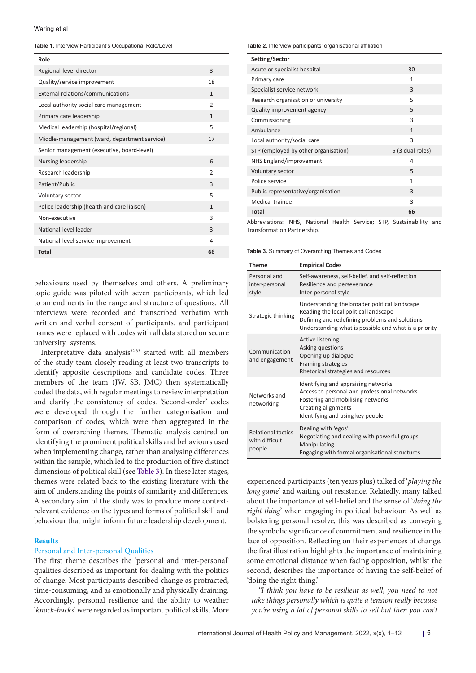#### **Table 1.** Interview Participant's Occupational Role/Level

| Role                                         |                |
|----------------------------------------------|----------------|
| Regional-level director                      | 3              |
| Quality/service improvement                  | 18             |
| External relations/communications            | $\mathbf{1}$   |
| Local authority social care management       | $\mathfrak{D}$ |
| Primary care leadership                      | $\mathbf{1}$   |
| Medical leadership (hospital/regional)       | 5              |
| Middle-management (ward, department service) | 17             |
| Senior management (executive, board-level)   |                |
| Nursing leadership                           | 6              |
| Research leadership                          | $\mathfrak{D}$ |
| Patient/Public                               | $\overline{3}$ |
| Voluntary sector                             | 5              |
| Police leadership (health and care liaison)  | $\mathbf{1}$   |
| Non-executive                                | 3              |
| National-level leader                        | $\overline{3}$ |
| National-level service improvement           | 4              |
| <b>Total</b>                                 | 66             |

behaviours used by themselves and others. A preliminary topic guide was piloted with seven participants, which led to amendments in the range and structure of questions. All interviews were recorded and transcribed verbatim with written and verbal consent of participants. and participant names were replaced with codes with all data stored on secure university systems.

Interpretative data analysis<sup>32,33</sup> started with all members of the study team closely reading at least two transcripts to identify apposite descriptions and candidate codes. Three members of the team (JW, SB, JMC) then systematically coded the data, with regular meetings to review interpretation and clarify the consistency of codes. 'Second-order' codes were developed through the further categorisation and comparison of codes, which were then aggregated in the form of overarching themes. Thematic analysis centred on identifying the prominent political skills and behaviours used when implementing change, rather than analysing differences within the sample, which led to the production of five distinct dimensions of political skill (see [Table 3\)](#page-4-0). In these later stages, themes were related back to the existing literature with the aim of understanding the points of similarity and differences. A secondary aim of the study was to produce more contextrelevant evidence on the types and forms of political skill and behaviour that might inform future leadership development.

# **Results**

## Personal and Inter-personal Qualities

The first theme describes the 'personal and inter-personal' qualities described as important for dealing with the politics of change. Most participants described change as protracted, time-consuming, and as emotionally and physically draining. Accordingly, personal resilience and the ability to weather '*knock-backs*' were regarded as important political skills. More **Table 2.** Interview participants' organisational affiliation

| Setting/Sector                       |                  |
|--------------------------------------|------------------|
| Acute or specialist hospital         | 30               |
| Primary care                         | 1                |
| Specialist service network           | 3                |
| Research organisation or university  | 5                |
| Quality improvement agency           | 5                |
| Commissioning                        | 3                |
| Ambulance                            | $\mathbf{1}$     |
| Local authority/social care          | 3                |
| STP (employed by other organisation) | 5 (3 dual roles) |
| NHS England/improvement              | 4                |
| Voluntary sector                     | 5                |
| Police service                       | 1                |
| Public representative/organisation   | $\overline{3}$   |
| Medical trainee                      | 3                |
| Total                                | 66               |

Abbreviations: NHS, National Health Service; STP, Sustainability and Transformation Partnership.

<span id="page-4-0"></span>**Table 3.** Summary of Overarching Themes and Codes

| Theme                                                 | <b>Empirical Codes</b>                                                                                                                                                                            |
|-------------------------------------------------------|---------------------------------------------------------------------------------------------------------------------------------------------------------------------------------------------------|
| Personal and<br>inter-personal<br>style               | Self-awareness, self-belief, and self-reflection<br>Resilience and perseverance<br>Inter-personal style                                                                                           |
| Strategic thinking                                    | Understanding the broader political landscape<br>Reading the local political landscape<br>Defining and redefining problems and solutions<br>Understanding what is possible and what is a priority |
| Communication<br>and engagement                       | <b>Active listening</b><br>Asking questions<br>Opening up dialogue<br>Framing strategies<br>Rhetorical strategies and resources                                                                   |
| Networks and<br>networking                            | Identifying and appraising networks<br>Access to personal and professional networks<br>Fostering and mobilising networks<br>Creating alignments<br>Identifying and using key people               |
| <b>Relational tactics</b><br>with difficult<br>people | Dealing with 'egos'<br>Negotiating and dealing with powerful groups<br>Manipulating<br>Engaging with formal organisational structures                                                             |

experienced participants (ten years plus) talked of '*playing the long game*' and waiting out resistance. Relatedly, many talked about the importance of self-belief and the sense of '*doing the right thing*' when engaging in political behaviour. As well as bolstering personal resolve, this was described as conveying the symbolic significance of commitment and resilience in the face of opposition. Reflecting on their experiences of change, the first illustration highlights the importance of maintaining some emotional distance when facing opposition, whilst the second, describes the importance of having the self-belief of 'doing the right thing.'

*"I think you have to be resilient as well, you need to not take things personally which is quite a tension really because you're using a lot of personal skills to sell but then you can't*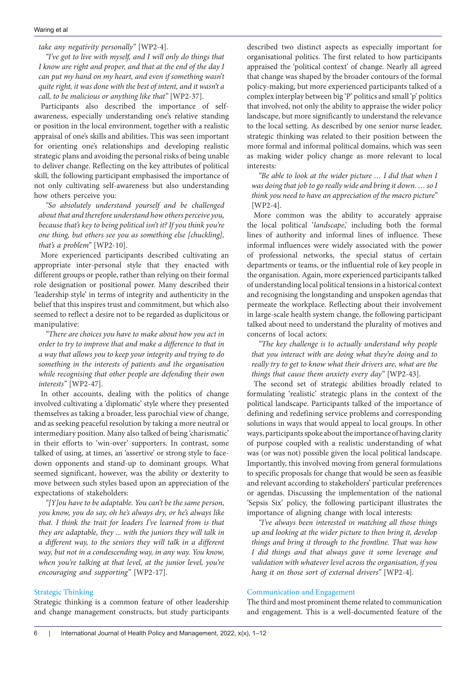*take any negativity personally"* [WP2-4].

*"I've got to live with myself, and I will only do things that I know are right and proper, and that at the end of the day I can put my hand on my heart, and even if something wasn't quite right, it was done with the best of intent, and it wasn't a call, to be malicious or anything like that"* [WP2-37].

Participants also described the importance of selfawareness, especially understanding one's relative standing or position in the local environment, together with a realistic appraisal of one's skills and abilities. This was seen important for orienting one's relationships and developing realistic strategic plans and avoiding the personal risks of being unable to deliver change. Reflecting on the key attributes of political skill, the following participant emphasised the importance of not only cultivating self-awareness but also understanding how others perceive you:

*"So absolutely understand yourself and be challenged about that and therefore understand how others perceive you, because that's key to being political isn't it? If you think you're one thing, but others see you as something else [chuckling], that's a problem"* [WP2-10].

More experienced participants described cultivating an appropriate inter-personal style that they enacted with different groups or people, rather than relying on their formal role designation or positional power. Many described their 'leadership style' in terms of integrity and authenticity in the belief that this inspires trust and commitment, but which also seemed to reflect a desire not to be regarded as duplicitous or manipulative:

*"There are choices you have to make about how you act in order to try to improve that and make a difference to that in a way that allows you to keep your integrity and trying to do something in the interests of patients and the organisation while recognising that other people are defending their own interests"* [WP2-47].

In other accounts, dealing with the politics of change involved cultivating a 'diplomatic' style where they presented themselves as taking a broader, less parochial view of change, and as seeking peaceful resolution by taking a more neutral or intermediary position. Many also talked of being 'charismatic' in their efforts to 'win-over' supporters. In contrast, some talked of using, at times, an 'assertive' or strong style to facedown opponents and stand-up to dominant groups. What seemed significant, however, was the ability or dexterity to move between such styles based upon an appreciation of the expectations of stakeholders:

*"[Y]ou have to be adaptable. You can't be the same person, you know, you do say, oh he's always dry, or he's always like that. I think the trait for leaders I've learned from is that they are adaptable, they ... with the juniors they will talk in a different way, to the seniors they will talk in a different way, but not in a condescending way, in any way. You know, when you're talking at that level, at the junior level, you're encouraging and supporting"* [WP2-17].

## Strategic Thinking

Strategic thinking is a common feature of other leadership and change management constructs, but study participants

described two distinct aspects as especially important for organisational politics. The first related to how participants appraised the 'political context' of change. Nearly all agreed that change was shaped by the broader contours of the formal policy-making, but more experienced participants talked of a complex interplay between big 'P' politics and small 'p' politics that involved, not only the ability to appraise the wider policy landscape, but more significantly to understand the relevance to the local setting. As described by one senior nurse leader, strategic thinking was related to their position between the more formal and informal political domains, which was seen as making wider policy change as more relevant to local interests:

*"Be able to look at the wider picture … I did that when I was doing that job to go really wide and bring it down. … so I think you need to have an appreciation of the macro picture"* [WP2-4].

More common was the ability to accurately appraise the local political '*landscape*,' including both the formal lines of authority and informal lines of influence. These informal influences were widely associated with the power of professional networks, the special status of certain departments or teams, or the influential role of key people in the organisation. Again, more experienced participants talked of understanding local political tensions in a historical context and recognising the longstanding and unspoken agendas that permeate the workplace. Reflecting about their involvement in large-scale health system change, the following participant talked about need to understand the plurality of motives and concerns of local actors:

*"The key challenge is to actually understand why people that you interact with are doing what they're doing and to really try to get to know what their drivers are, what are the things that cause them anxiety every day"* [WP2-43].

The second set of strategic abilities broadly related to formulating 'realistic' strategic plans in the context of the political landscape. Participants talked of the importance of defining and redefining service problems and corresponding solutions in ways that would appeal to local groups. In other ways, participants spoke about the importance of having clarity of purpose coupled with a realistic understanding of what was (or was not) possible given the local political landscape. Importantly, this involved moving from general formulations to specific proposals for change that would be seen as feasible and relevant according to stakeholders' particular preferences or agendas. Discussing the implementation of the national 'Sepsis Six' policy, the following participant illustrates the importance of aligning change with local interests:

*"I've always been interested in matching all those things up and looking at the wider picture to then bring it, develop things and bring it through to the frontline. That was how I did things and that always gave it some leverage and validation with whatever level across the organisation, if you hang it on those sort of external drivers"* [WP2-4].

### Communication and Engagement

The third and most prominent theme related to communication and engagement. This is a well-documented feature of the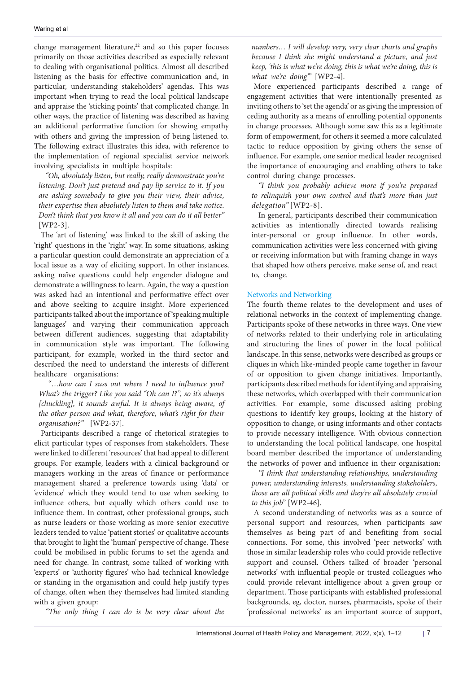change management literature, $22$  and so this paper focuses primarily on those activities described as especially relevant to dealing with organisational politics. Almost all described listening as the basis for effective communication and, in particular, understanding stakeholders' agendas. This was important when trying to read the local political landscape and appraise the 'sticking points' that complicated change. In other ways, the practice of listening was described as having an additional performative function for showing empathy with others and giving the impression of being listened to. The following extract illustrates this idea, with reference to the implementation of regional specialist service network involving specialists in multiple hospitals:

*"Oh, absolutely listen, but really, really demonstrate you're listening. Don't just pretend and pay lip service to it. If you are asking somebody to give you their view, their advice, their expertise then absolutely listen to them and take notice. Don't think that you know it all and you can do it all better"* [WP2-3].

The 'art of listening' was linked to the skill of asking the 'right' questions in the 'right' way. In some situations, asking a particular question could demonstrate an appreciation of a local issue as a way of eliciting support. In other instances, asking naïve questions could help engender dialogue and demonstrate a willingness to learn. Again, the way a question was asked had an intentional and performative effect over and above seeking to acquire insight. More experienced participants talked about the importance of 'speaking multiple languages' and varying their communication approach between different audiences, suggesting that adaptability in communication style was important. The following participant, for example, worked in the third sector and described the need to understand the interests of different healthcare organisations:

 "*…how can I suss out where I need to influence you? What's the trigger? Like you said "Oh can I?", so it's always [chuckling], it sounds awful. It is always being aware, of the other person and what, therefore, what's right for their organisation?"* [WP2-37].

Participants described a range of rhetorical strategies to elicit particular types of responses from stakeholders. These were linked to different 'resources' that had appeal to different groups. For example, leaders with a clinical background or managers working in the areas of finance or performance management shared a preference towards using 'data' or 'evidence' which they would tend to use when seeking to influence others, but equally which others could use to influence them. In contrast, other professional groups, such as nurse leaders or those working as more senior executive leaders tended to value 'patient stories' or qualitative accounts that brought to light the 'human' perspective of change. These could be mobilised in public forums to set the agenda and need for change. In contrast, some talked of working with 'experts' or 'authority figures' who had technical knowledge or standing in the organisation and could help justify types of change, often when they themselves had limited standing with a given group:

*"The only thing I can do is be very clear about the* 

*numbers… I will develop very, very clear charts and graphs because I think she might understand a picture, and just keep, 'this is what we're doing, this is what we're doing, this is what we're doing'"* [WP2-4].

More experienced participants described a range of engagement activities that were intentionally presented as inviting others to 'set the agenda' or as giving the impression of ceding authority as a means of enrolling potential opponents in change processes. Although some saw this as a legitimate form of empowerment, for others it seemed a more calculated tactic to reduce opposition by giving others the sense of influence. For example, one senior medical leader recognised the importance of encouraging and enabling others to take control during change processes.

*"I think you probably achieve more if you're prepared to relinquish your own control and that's more than just delegation"* [WP2-8].

In general, participants described their communication activities as intentionally directed towards realising inter-personal or group influence. In other words, communication activities were less concerned with giving or receiving information but with framing change in ways that shaped how others perceive, make sense of, and react to, change.

# Networks and Networking

The fourth theme relates to the development and uses of relational networks in the context of implementing change. Participants spoke of these networks in three ways. One view of networks related to their underlying role in articulating and structuring the lines of power in the local political landscape. In this sense, networks were described as groups or cliques in which like-minded people came together in favour of or opposition to given change initiatives. Importantly, participants described methods for identifying and appraising these networks, which overlapped with their communication activities. For example, some discussed asking probing questions to identify key groups, looking at the history of opposition to change, or using informants and other contacts to provide necessary intelligence. With obvious connection to understanding the local political landscape, one hospital board member described the importance of understanding the networks of power and influence in their organisation:

*"I think that understanding relationships, understanding power, understanding interests, understanding stakeholders, those are all political skills and they're all absolutely crucial to this job"* [WP2-46].

A second understanding of networks was as a source of personal support and resources, when participants saw themselves as being part of and benefiting from social connections. For some, this involved 'peer networks' with those in similar leadership roles who could provide reflective support and counsel. Others talked of broader 'personal networks' with influential people or trusted colleagues who could provide relevant intelligence about a given group or department. Those participants with established professional backgrounds, eg, doctor, nurses, pharmacists, spoke of their 'professional networks' as an important source of support,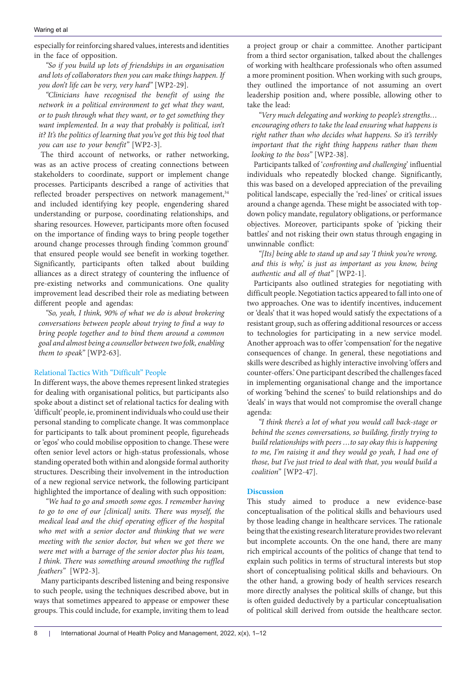especially for reinforcing shared values, interests and identities in the face of opposition.

*"So if you build up lots of friendships in an organisation and lots of collaborators then you can make things happen. If you don't life can be very, very hard"* [WP2-29].

*"Clinicians have recognised the benefit of using the network in a political environment to get what they want, or to push through what they want, or to get something they want implemented. In a way that probably is political, isn't it? It's the politics of learning that you've got this big tool that you can use to your benefit"* [WP2-3].

The third account of networks, or rather networking, was as an active process of creating connections between stakeholders to coordinate, support or implement change processes. Participants described a range of activities that reflected broader perspectives on network management,<sup>34</sup> and included identifying key people, engendering shared understanding or purpose, coordinating relationships, and sharing resources. However, participants more often focused on the importance of finding ways to bring people together around change processes through finding 'common ground' that ensured people would see benefit in working together. Significantly, participants often talked about building alliances as a direct strategy of countering the influence of pre-existing networks and communications. One quality improvement lead described their role as mediating between different people and agendas:

*"So, yeah, I think, 90% of what we do is about brokering conversations between people about trying to find a way to bring people together and to bind them around a common goal and almost being a counsellor between two folk, enabling them to speak"* [WP2-63].

# Relational Tactics With "Difficult" People

In different ways, the above themes represent linked strategies for dealing with organisational politics, but participants also spoke about a distinct set of relational tactics for dealing with 'difficult' people, ie, prominent individuals who could use their personal standing to complicate change. It was commonplace for participants to talk about prominent people, figureheads or 'egos' who could mobilise opposition to change. These were often senior level actors or high-status professionals, whose standing operated both within and alongside formal authority structures. Describing their involvement in the introduction of a new regional service network, the following participant highlighted the importance of dealing with such opposition:

*"We had to go and smooth some egos. I remember having to go to one of our [clinical] units. There was myself, the medical lead and the chief operating officer of the hospital who met with a senior doctor and thinking that we were meeting with the senior doctor, but when we got there we were met with a barrage of the senior doctor plus his team, I think. There was something around smoothing the ruffled feathers"* [WP2-3].

Many participants described listening and being responsive to such people, using the techniques described above, but in ways that sometimes appeared to appease or empower these groups. This could include, for example, inviting them to lead

a project group or chair a committee. Another participant from a third sector organisation, talked about the challenges of working with healthcare professionals who often assumed a more prominent position. When working with such groups, they outlined the importance of not assuming an overt leadership position and, where possible, allowing other to take the lead:

*"Very much delegating and working to people's strengths… encouraging others to take the lead ensuring what happens is right rather than who decides what happens. So it's terribly important that the right thing happens rather than them looking to the boss"* [WP2-38].

Participants talked of '*confronting and challenging*' influential individuals who repeatedly blocked change. Significantly, this was based on a developed appreciation of the prevailing political landscape, especially the 'red-lines' or critical issues around a change agenda. These might be associated with topdown policy mandate, regulatory obligations, or performance objectives. Moreover, participants spoke of 'picking their battles' and not risking their own status through engaging in unwinnable conflict:

*"[Its] being able to stand up and say 'I think you're wrong, and this is why,' is just as important as you know, being authentic and all of that"* [WP2-1].

Participants also outlined strategies for negotiating with difficult people. Negotiation tactics appeared to fall into one of two approaches. One was to identify incentives, inducement or 'deals' that it was hoped would satisfy the expectations of a resistant group, such as offering additional resources or access to technologies for participating in a new service model. Another approach was to offer 'compensation' for the negative consequences of change. In general, these negotiations and skills were described as highly interactive involving 'offers and counter-offers.' One participant described the challenges faced in implementing organisational change and the importance of working 'behind the scenes' to build relationships and do 'deals' in ways that would not compromise the overall change agenda:

*"I think there's a lot of what you would call back-stage or behind the scenes conversations, so building, firstly trying to build relationships with peers …to say okay this is happening to me, I'm raising it and they would go yeah, I had one of those, but I've just tried to deal with that, you would build a coalition"* [WP2-47].

### **Discussion**

This study aimed to produce a new evidence-base conceptualisation of the political skills and behaviours used by those leading change in healthcare services. The rationale being that the existing research literature provides two relevant but incomplete accounts. On the one hand, there are many rich empirical accounts of the politics of change that tend to explain such politics in terms of structural interests but stop short of conceptualising political skills and behaviours. On the other hand, a growing body of health services research more directly analyses the political skills of change, but this is often guided deductively by a particular conceptualisation of political skill derived from outside the healthcare sector.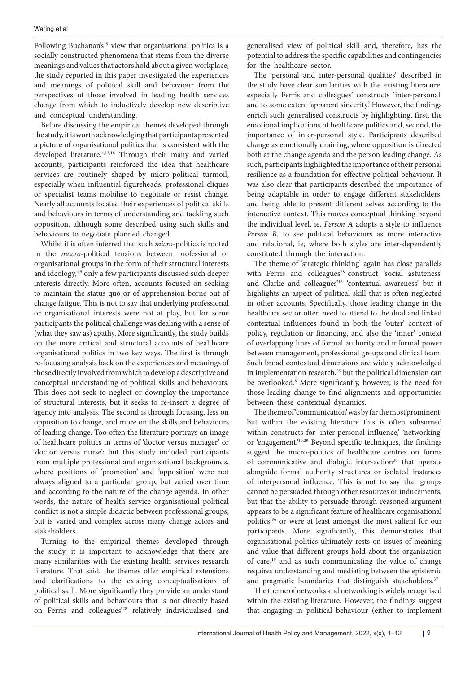Following Buchanan's<sup>19</sup> view that organisational politics is a socially constructed phenomena that stems from the diverse meanings and values that actors hold about a given workplace, the study reported in this paper investigated the experiences and meanings of political skill and behaviour from the perspectives of those involved in leading health services change from which to inductively develop new descriptive and conceptual understanding.

Before discussing the empirical themes developed through the study, it is worth acknowledging that participants presented a picture of organisational politics that is consistent with the developed literature.4,13,18 Through their many and varied accounts, participants reinforced the idea that healthcare services are routinely shaped by micro-political turmoil, especially when influential figureheads, professional cliques or specialist teams mobilise to negotiate or resist change. Nearly all accounts located their experiences of political skills and behaviours in terms of understanding and tackling such opposition, although some described using such skills and behaviours to negotiate planned changed.

Whilst it is often inferred that such *micro*-politics is rooted in the *macro*-political tensions between professional or organisational groups in the form of their structural interests and ideology,<sup>4,5</sup> only a few participants discussed such deeper interests directly. More often, accounts focused on seeking to maintain the status quo or of apprehension borne out of change fatigue. This is not to say that underlying professional or organisational interests were not at play, but for some participants the political challenge was dealing with a sense of (what they saw as) apathy. More significantly, the study builds on the more critical and structural accounts of healthcare organisational politics in two key ways. The first is through re-focusing analysis back on the experiences and meanings of those directly involved from which to develop a descriptive and conceptual understanding of political skills and behaviours. This does not seek to neglect or downplay the importance of structural interests, but it seeks to re-insert a degree of agency into analysis. The second is through focusing, less on opposition to change, and more on the skills and behaviours of leading change. Too often the literature portrays an image of healthcare politics in terms of 'doctor versus manager' or 'doctor versus nurse'; but this study included participants from multiple professional and organisational backgrounds, where positions of 'promotion' and 'opposition' were not always aligned to a particular group, but varied over time and according to the nature of the change agenda. In other words, the nature of health service organisational political conflict is not a simple didactic between professional groups, but is varied and complex across many change actors and stakeholders.

Turning to the empirical themes developed through the study, it is important to acknowledge that there are many similarities with the existing health services research literature. That said, the themes offer empirical extensions and clarifications to the existing conceptualisations of political skill. More significantly they provide an understand of political skills and behaviours that is not directly based on Ferris and colleagues'28 relatively individualised and generalised view of political skill and, therefore, has the potential to address the specific capabilities and contingencies for the healthcare sector.

The 'personal and inter-personal qualities' described in the study have clear similarities with the existing literature, especially Ferris and colleagues' constructs 'inter-personal' and to some extent 'apparent sincerity.' However, the findings enrich such generalised constructs by highlighting, first, the emotional implications of healthcare politics and, second, the importance of inter-personal style. Participants described change as emotionally draining, where opposition is directed both at the change agenda and the person leading change. As such, participants highlighted the importance of their personal resilience as a foundation for effective political behaviour. It was also clear that participants described the importance of being adaptable in order to engage different stakeholders, and being able to present different selves according to the interactive context. This moves conceptual thinking beyond the individual level, ie, *Person A* adopts a style to influence *Person B*, to see political behaviours as more interactive and relational, ie, where both styles are inter-dependently constituted through the interaction.

The theme of 'strategic thinking' again has close parallels with Ferris and colleagues<sup>28</sup> construct 'social astuteness' and Clarke and colleagues'16 'contextual awareness' but it highlights an aspect of political skill that is often neglected in other accounts. Specifically, those leading change in the healthcare sector often need to attend to the dual and linked contextual influences found in both the 'outer' context of policy, regulation or financing, and also the 'inner' context of overlapping lines of formal authority and informal power between management, professional groups and clinical team. Such broad contextual dimensions are widely acknowledged in implementation research,<sup>35</sup> but the political dimension can be overlooked.<sup>8</sup> More significantly, however, is the need for those leading change to find alignments and opportunities between these contextual dynamics.

The theme of 'communication' was by far the most prominent, but within the existing literature this is often subsumed within constructs for 'inter-personal influence,' 'networking' or 'engagement.'19,29 Beyond specific techniques, the findings suggest the micro-politics of healthcare centres on forms of communicative and dialogic inter-action<sup>36</sup> that operate alongside formal authority structures or isolated instances of interpersonal influence. This is not to say that groups cannot be persuaded through other resources or inducements, but that the ability to persuade through reasoned argument appears to be a significant feature of healthcare organisational politics,36 or were at least amongst the most salient for our participants. More significantly, this demonstrates that organisational politics ultimately rests on issues of meaning and value that different groups hold about the organisation of care,19 and as such communicating the value of change requires understanding and mediating between the epistemic and pragmatic boundaries that distinguish stakeholders.<sup>37</sup>

The theme of networks and networking is widely recognised within the existing literature. However, the findings suggest that engaging in political behaviour (either to implement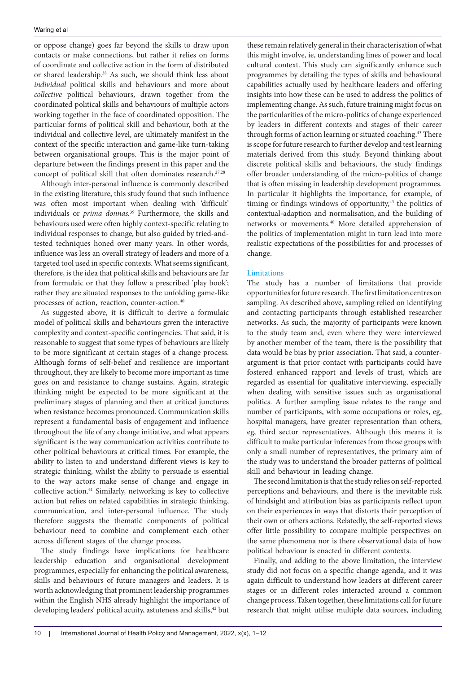or oppose change) goes far beyond the skills to draw upon contacts or make connections, but rather it relies on forms of coordinate and collective action in the form of distributed or shared leadership.38 As such, we should think less about *individual* political skills and behaviours and more about *collective* political behaviours, drawn together from the coordinated political skills and behaviours of multiple actors working together in the face of coordinated opposition. The particular forms of political skill and behaviour, both at the individual and collective level, are ultimately manifest in the context of the specific interaction and game-like turn-taking between organisational groups. This is the major point of departure between the findings present in this paper and the concept of political skill that often dominates research.<sup>27,28</sup>

Although inter-personal influence is commonly described in the existing literature, this study found that such influence was often most important when dealing with 'difficult' individuals or *prima donnas.*39 Furthermore, the skills and behaviours used were often highly context-specific relating to individual responses to change, but also guided by tried-andtested techniques honed over many years. In other words, influence was less an overall strategy of leaders and more of a targeted tool used in specific contexts. What seems significant, therefore, is the idea that political skills and behaviours are far from formulaic or that they follow a prescribed 'play book'; rather they are situated responses to the unfolding game-like processes of action, reaction, counter-action.40

As suggested above, it is difficult to derive a formulaic model of political skills and behaviours given the interactive complexity and context-specific contingencies. That said, it is reasonable to suggest that some types of behaviours are likely to be more significant at certain stages of a change process. Although forms of self-belief and resilience are important throughout, they are likely to become more important as time goes on and resistance to change sustains. Again, strategic thinking might be expected to be more significant at the preliminary stages of planning and then at critical junctures when resistance becomes pronounced. Communication skills represent a fundamental basis of engagement and influence throughout the life of any change initiative, and what appears significant is the way communication activities contribute to other political behaviours at critical times. For example, the ability to listen to and understand different views is key to strategic thinking, whilst the ability to persuade is essential to the way actors make sense of change and engage in collective action.41 Similarly, networking is key to collective action but relies on related capabilities in strategic thinking, communication, and inter-personal influence. The study therefore suggests the thematic components of political behaviour need to combine and complement each other across different stages of the change process.

The study findings have implications for healthcare leadership education and organisational development programmes, especially for enhancing the political awareness, skills and behaviours of future managers and leaders. It is worth acknowledging that prominent leadership programmes within the English NHS already highlight the importance of developing leaders' political acuity, astuteness and skills,<sup>42</sup> but

these remain relatively general in their characterisation of what this might involve, ie, understanding lines of power and local cultural context. This study can significantly enhance such programmes by detailing the types of skills and behavioural capabilities actually used by healthcare leaders and offering insights into how these can be used to address the politics of implementing change. As such, future training might focus on the particularities of the micro-politics of change experienced by leaders in different contexts and stages of their career through forms of action learning or situated coaching.<sup>43</sup> There is scope for future research to further develop and test learning materials derived from this study. Beyond thinking about discrete political skills and behaviours, the study findings offer broader understanding of the micro-politics of change that is often missing in leadership development programmes. In particular it highlights the importance, for example, of timing or findings windows of opportunity, $43$  the politics of contextual-adaption and normalisation, and the building of networks or movements.40 More detailed apprehension of the politics of implementation might in turn lead into more realistic expectations of the possibilities for and processes of change.

# Limitations

The study has a number of limitations that provide opportunities for future research. The first limitation centres on sampling. As described above, sampling relied on identifying and contacting participants through established researcher networks. As such, the majority of participants were known to the study team and, even where they were interviewed by another member of the team, there is the possibility that data would be bias by prior association. That said, a counterargument is that prior contact with participants could have fostered enhanced rapport and levels of trust, which are regarded as essential for qualitative interviewing, especially when dealing with sensitive issues such as organisational politics. A further sampling issue relates to the range and number of participants, with some occupations or roles, eg, hospital managers, have greater representation than others, eg, third sector representatives. Although this means it is difficult to make particular inferences from those groups with only a small number of representatives, the primary aim of the study was to understand the broader patterns of political skill and behaviour in leading change.

The second limitation is that the study relies on self-reported perceptions and behaviours, and there is the inevitable risk of hindsight and attribution bias as participants reflect upon on their experiences in ways that distorts their perception of their own or others actions. Relatedly, the self-reported views offer little possibility to compare multiple perspectives on the same phenomena nor is there observational data of how political behaviour is enacted in different contexts.

Finally, and adding to the above limitation, the interview study did not focus on a specific change agenda, and it was again difficult to understand how leaders at different career stages or in different roles interacted around a common change process. Taken together, these limitations call for future research that might utilise multiple data sources, including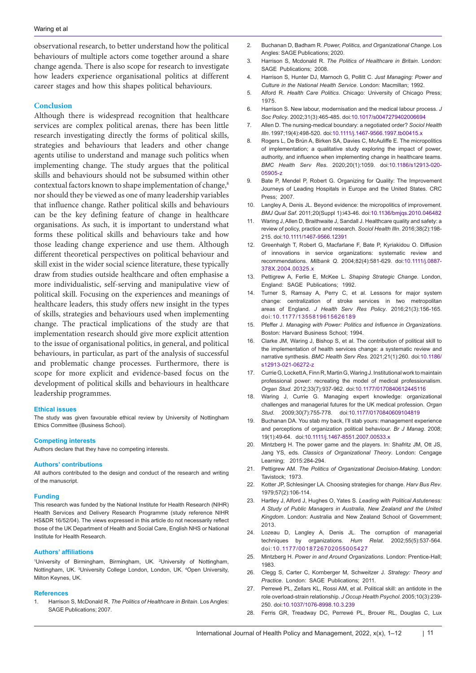observational research, to better understand how the political behaviours of multiple actors come together around a share change agenda. There is also scope for research to investigate how leaders experience organisational politics at different career stages and how this shapes political behaviours.

#### **Conclusion**

Although there is widespread recognition that healthcare services are complex political arenas, there has been little research investigating directly the forms of political skills, strategies and behaviours that leaders and other change agents utilise to understand and manage such politics when implementing change. The study argues that the political skills and behaviours should not be subsumed within other contextual factors known to shape implementation of change,<sup>8</sup> nor should they be viewed as one of many leadership variables that influence change. Rather political skills and behaviours can be the key defining feature of change in healthcare organisations. As such, it is important to understand what forms these political skills and behaviours take and how those leading change experience and use them. Although different theoretical perspectives on political behaviour and skill exist in the wider social science literature, these typically draw from studies outside healthcare and often emphasise a more individualistic, self-serving and manipulative view of political skill. Focusing on the experiences and meanings of healthcare leaders, this study offers new insight in the types of skills, strategies and behaviours used when implementing change. The practical implications of the study are that implementation research should give more explicit attention to the issue of organisational politics, in general, and political behaviours, in particular, as part of the analysis of successful and problematic change processes. Furthermore, there is scope for more explicit and evidence-based focus on the development of political skills and behaviours in healthcare leadership programmes.

#### **Ethical issues**

The study was given favourable ethical review by University of Nottingham Ethics Committee (Business School).

#### **Competing interests**

Authors declare that they have no competing interests.

#### **Authors' contributions**

All authors contributed to the design and conduct of the research and writing of the manuscript.

#### **Funding**

This research was funded by the National Institute for Health Research (NIHR) Health Services and Delivery Research Programme (study reference NIHR HS&DR 16/52/04). The views expressed in this article do not necessarily reflect those of the UK Department of Health and Social Care, English NHS or National Institute for Health Research.

#### **Authors' affiliations**

<sup>1</sup>University of Birmingham, Birmingham, UK. <sup>2</sup>University of Nottingham, Nottingham, UK. <sup>3</sup>University College London, London, UK. <sup>4</sup>Open University, Milton Keynes, UK.

#### **References**

1. Harrison S, McDonald R. *The Politics of Healthcare in Britain*. Los Angles: SAGE Publications; 2007.

- 2. Buchanan D, Badham R. *Power, Politics, and Organizational Change*. Los Angles: SAGE Publications; 2020.
- 3. Harrison S, Mcdonald R. *The Politics of Healthcare in Britain*. London: SAGE Publications; 2008.
- 4. Harrison S, Hunter DJ, Marnoch G, Pollitt C. *Just Managing: Power and Culture in the National Health Service*. London: Macmillan; 1992.
- 5. Alford R. *Health Care Politics*. Chicago: University of Chicago Press; 1975.
- 6. Harrison S. New labour, modernisation and the medical labour process. *J Soc Policy*. 2002;31(3):465-485. doi:[10.1017/s0047279402006694](https://doi.org/10.1017/s0047279402006694)
- 7. Allen D. The nursing-medical boundary: a negotiated order? *Sociol Health Illn*. 1997;19(4):498-520. doi:[10.1111/j.1467-9566.1997.tb00415.x](https://doi.org/10.1111/j.1467-9566.1997.tb00415.x)
- 8. Rogers L, De Brún A, Birken SA, Davies C, McAuliffe E. The micropolitics of implementation; a qualitative study exploring the impact of power, authority, and influence when implementing change in healthcare teams. *BMC Health Serv Res*. 2020;20(1):1059. doi:[10.1186/s12913-020-](https://doi.org/10.1186/s12913-020-05905-z) [05905-z](https://doi.org/10.1186/s12913-020-05905-z)
- 9. Bate P, Mendel P, Robert G. Organizing for Quality: The Improvement Journeys of Leading Hospitals in Europe and the United States. CRC Press; 2007.
- 10. Langley A, Denis JL. Beyond evidence: the micropolitics of improvement. *BMJ Qual Saf*. 2011;20(Suppl 1):i43-46. doi:[10.1136/bmjqs.2010.046482](https://doi.org/10.1136/bmjqs.2010.046482)
- 11. Waring J, Allen D, Braithwaite J, Sandall J. Healthcare quality and safety: a review of policy, practice and research. *Sociol Health Illn*. 2016;38(2):198- 215. doi:[10.1111/1467-9566.12391](https://doi.org/10.1111/1467-9566.12391)
- 12. Greenhalgh T, Robert G, Macfarlane F, Bate P, Kyriakidou O. Diffusion of innovations in service organizations: systematic review and recommendations. *Milbank Q*. 2004;82(4):581-629. doi:[10.1111/j.0887-](https://doi.org/10.1111/j.0887-378X.2004.00325.x) [378X.2004.00325.x](https://doi.org/10.1111/j.0887-378X.2004.00325.x)
- 13. Pettigrew A, Ferlie E, McKee L. *Shaping Strategic Change*. London, England: SAGE Publications; 1992.
- 14. Turner S, Ramsay A, Perry C, et al. Lessons for major system change: centralization of stroke services in two metropolitan areas of England. *J Health Serv Res Policy*. 2016;21(3):156-165. doi:[10.1177/1355819615626189](https://doi.org/10.1177/1355819615626189)
- 15. Pfeffer J. *Managing with Power: Politics and Influence in Organizations*. Boston: Harvard Business School; 1994.
- 16. Clarke JM, Waring J, Bishop S, et al. The contribution of political skill to the implementation of health services change: a systematic review and narrative synthesis. *BMC Health Serv Res*. 2021;21(1):260. doi[:10.1186/](https://doi.org/10.1186/s12913-021-06272-z) [s12913-021-06272-z](https://doi.org/10.1186/s12913-021-06272-z)
- 17. Currie G, Lockett A, Finn R, Martin G, Waring J. Institutional work to maintain professional power: recreating the model of medical professionalism. *Organ Stud*. 2012;33(7):937-962. doi[:10.1177/0170840612445116](https://doi.org/10.1177/0170840612445116)
- 18. Waring J, Currie G. Managing expert knowledge: organizational challenges and managerial futures for the UK medical profession. *Organ Stud*. 2009;30(7):755-778. doi[:10.1177/0170840609104819](https://doi.org/10.1177/0170840609104819)
- 19. Buchanan DA. You stab my back, I'll stab yours: management experience and perceptions of organization political behaviour. *Br J Manag*. 2008; 19(1):49-64. doi[:10.1111/j.1467-8551.2007.00533.x](https://doi.org/10.1111/j.1467-8551.2007.00533.x)
- 20. Mintzberg H. The power game and the players. In: Shafritz JM, Ott JS, Jang YS, eds. *Classics of Organizational Theory*. London: Cengage Learning; 2015:284-294.
- 21. Pettigrew AM. *The Politics of Organizational Decision-Making*. London: Tavistock; 1973.
- 22. Kotter JP, Schlesinger LA. Choosing strategies for change. *Harv Bus Rev*. 1979;57(2):106-114.
- 23. Hartley J, Alford J, Hughes O, Yates S. *Leading with Political Astuteness: A Study of Public Managers in Australia, New Zealand and the United Kingdom*. London: Australia and New Zealand School of Government; 2013.
- 24. Lozeau D, Langley A, Denis JL. The corruption of managerial techniques by organizations. *Hum Relat*. 2002;55(5):537-564. doi:[10.1177/0018726702055005427](https://doi.org/10.1177/0018726702055005427)
- 25. Mintzberg H. *Power in and Around Organizations*. London: Prentice-Hall; 1983.
- 26. Clegg S, Carter C, Kornberger M, Schweitzer J. *Strategy: Theory and Practice*. London: SAGE Publications; 2011.
- 27. Perrewé PL, Zellars KL, Rossi AM, et al. Political skill: an antidote in the role overload-strain relationship. *J Occup Health Psychol*. 2005;10(3):239- 250. doi:[10.1037/1076-8998.10.3.239](https://doi.org/10.1037/1076-8998.10.3.239)
- 28. Ferris GR, Treadway DC, Perrewé PL, Brouer RL, Douglas C, Lux